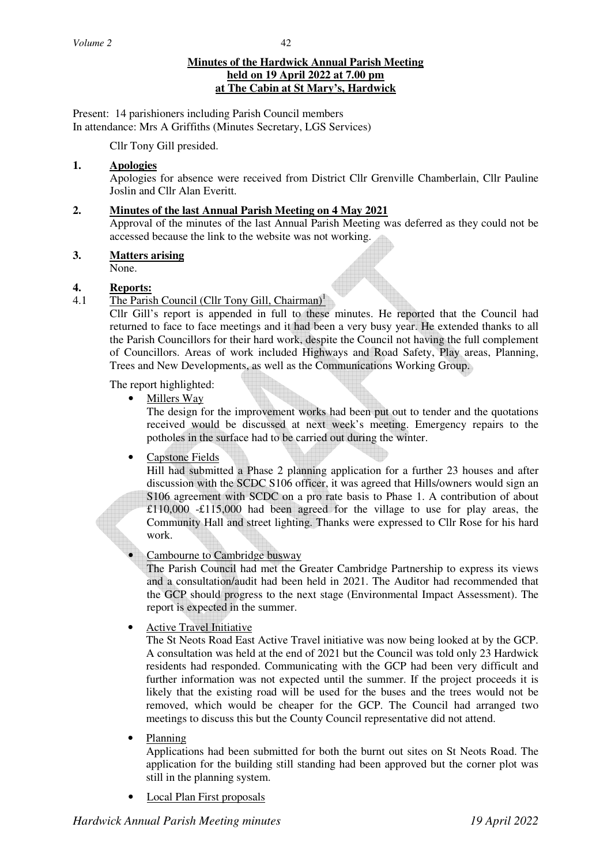#### **Minutes of the Hardwick Annual Parish Meeting held on 19 April 2022 at 7.00 pm at The Cabin at St Mary's, Hardwick**

Present: 14 parishioners including Parish Council members In attendance: Mrs A Griffiths (Minutes Secretary, LGS Services)

Cllr Tony Gill presided.

## **1. Apologies**

Apologies for absence were received from District Cllr Grenville Chamberlain, Cllr Pauline Joslin and Cllr Alan Everitt.

## **2. Minutes of the last Annual Parish Meeting on 4 May 2021**

Approval of the minutes of the last Annual Parish Meeting was deferred as they could not be accessed because the link to the website was not working.

## **3. Matters arising**

None.

## **4. Reports:**

## 4.1 The Parish Council (Cllr Tony Gill, Chairman)<sup>1</sup>

Cllr Gill's report is appended in full to these minutes. He reported that the Council had returned to face to face meetings and it had been a very busy year. He extended thanks to all the Parish Councillors for their hard work, despite the Council not having the full complement of Councillors. Areas of work included Highways and Road Safety, Play areas, Planning, Trees and New Developments, as well as the Communications Working Group.

The report highlighted:

• Millers Way

The design for the improvement works had been put out to tender and the quotations received would be discussed at next week's meeting. Emergency repairs to the potholes in the surface had to be carried out during the winter.

• Capstone Fields

Hill had submitted a Phase 2 planning application for a further 23 houses and after discussion with the SCDC S106 officer, it was agreed that Hills/owners would sign an S106 agreement with SCDC on a pro rate basis to Phase 1. A contribution of about £110,000 -£115,000 had been agreed for the village to use for play areas, the Community Hall and street lighting. Thanks were expressed to Cllr Rose for his hard work.

### • Cambourne to Cambridge busway

The Parish Council had met the Greater Cambridge Partnership to express its views and a consultation/audit had been held in 2021. The Auditor had recommended that the GCP should progress to the next stage (Environmental Impact Assessment). The report is expected in the summer.

# • Active Travel Initiative

The St Neots Road East Active Travel initiative was now being looked at by the GCP. A consultation was held at the end of 2021 but the Council was told only 23 Hardwick residents had responded. Communicating with the GCP had been very difficult and further information was not expected until the summer. If the project proceeds it is likely that the existing road will be used for the buses and the trees would not be removed, which would be cheaper for the GCP. The Council had arranged two meetings to discuss this but the County Council representative did not attend.

• Planning

Applications had been submitted for both the burnt out sites on St Neots Road. The application for the building still standing had been approved but the corner plot was still in the planning system.

• Local Plan First proposals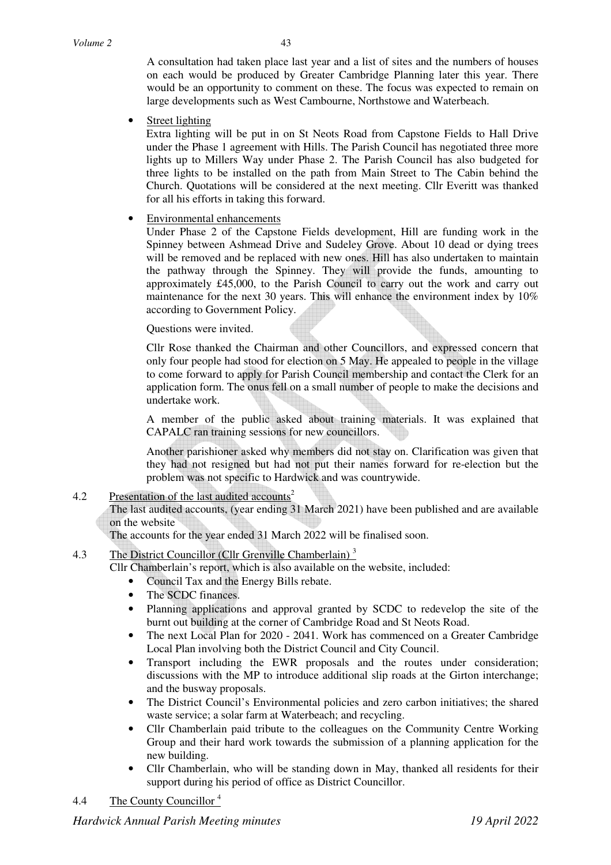A consultation had taken place last year and a list of sites and the numbers of houses on each would be produced by Greater Cambridge Planning later this year. There would be an opportunity to comment on these. The focus was expected to remain on large developments such as West Cambourne, Northstowe and Waterbeach.

• Street lighting

Extra lighting will be put in on St Neots Road from Capstone Fields to Hall Drive under the Phase 1 agreement with Hills. The Parish Council has negotiated three more lights up to Millers Way under Phase 2. The Parish Council has also budgeted for three lights to be installed on the path from Main Street to The Cabin behind the Church. Quotations will be considered at the next meeting. Cllr Everitt was thanked for all his efforts in taking this forward.

#### • Environmental enhancements

Under Phase 2 of the Capstone Fields development, Hill are funding work in the Spinney between Ashmead Drive and Sudeley Grove. About 10 dead or dying trees will be removed and be replaced with new ones. Hill has also undertaken to maintain the pathway through the Spinney. They will provide the funds, amounting to approximately £45,000, to the Parish Council to carry out the work and carry out maintenance for the next 30 years. This will enhance the environment index by 10% according to Government Policy.

Questions were invited.

Cllr Rose thanked the Chairman and other Councillors, and expressed concern that only four people had stood for election on 5 May. He appealed to people in the village to come forward to apply for Parish Council membership and contact the Clerk for an application form. The onus fell on a small number of people to make the decisions and undertake work.

A member of the public asked about training materials. It was explained that CAPALC ran training sessions for new councillors.

Another parishioner asked why members did not stay on. Clarification was given that they had not resigned but had not put their names forward for re-election but the problem was not specific to Hardwick and was countrywide.

### 4.2 Presentation of the last audited accounts<sup>2</sup>

The last audited accounts, (year ending 31 March 2021) have been published and are available on the website

The accounts for the year ended 31 March 2022 will be finalised soon.

## 4.3 The District Councillor (Cllr Grenville Chamberlain)<sup>3</sup>

Cllr Chamberlain's report, which is also available on the website, included:

- Council Tax and the Energy Bills rebate.
- The SCDC finances.
- Planning applications and approval granted by SCDC to redevelop the site of the burnt out building at the corner of Cambridge Road and St Neots Road.
- The next Local Plan for 2020 2041. Work has commenced on a Greater Cambridge Local Plan involving both the District Council and City Council.
- Transport including the EWR proposals and the routes under consideration; discussions with the MP to introduce additional slip roads at the Girton interchange; and the busway proposals.
- The District Council's Environmental policies and zero carbon initiatives; the shared waste service; a solar farm at Waterbeach; and recycling.
- Cllr Chamberlain paid tribute to the colleagues on the Community Centre Working Group and their hard work towards the submission of a planning application for the new building.
- Cllr Chamberlain, who will be standing down in May, thanked all residents for their support during his period of office as District Councillor.
- 4.4 The County Councillor<sup>4</sup>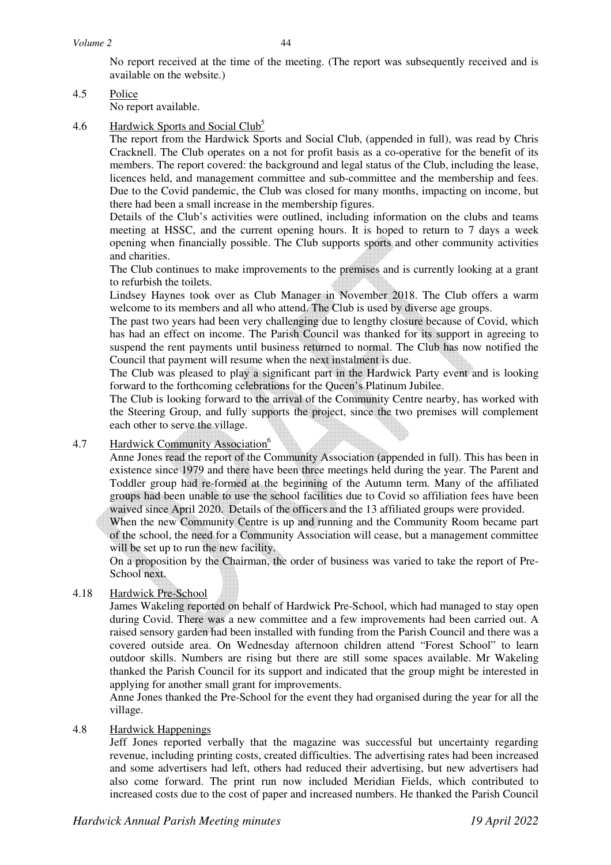No report received at the time of the meeting. (The report was subsequently received and is available on the website.)

4.5 Police

No report available.

4.6 Hardwick Sports and Social Club<sup>5</sup>

 The report from the Hardwick Sports and Social Club, (appended in full), was read by Chris Cracknell. The Club operates on a not for profit basis as a co-operative for the benefit of its members. The report covered: the background and legal status of the Club, including the lease, licences held, and management committee and sub-committee and the membership and fees. Due to the Covid pandemic, the Club was closed for many months, impacting on income, but there had been a small increase in the membership figures.

Details of the Club's activities were outlined, including information on the clubs and teams meeting at HSSC, and the current opening hours. It is hoped to return to 7 days a week opening when financially possible. The Club supports sports and other community activities and charities.

 The Club continues to make improvements to the premises and is currently looking at a grant to refurbish the toilets.

 Lindsey Haynes took over as Club Manager in November 2018. The Club offers a warm welcome to its members and all who attend. The Club is used by diverse age groups.

 The past two years had been very challenging due to lengthy closure because of Covid, which has had an effect on income. The Parish Council was thanked for its support in agreeing to suspend the rent payments until business returned to normal. The Club has now notified the Council that payment will resume when the next instalment is due.

 The Club was pleased to play a significant part in the Hardwick Party event and is looking forward to the forthcoming celebrations for the Queen's Platinum Jubilee.

 The Club is looking forward to the arrival of the Community Centre nearby, has worked with the Steering Group, and fully supports the project, since the two premises will complement each other to serve the village.

### 4.7 Hardwick Community Association<sup>6</sup>

 Anne Jones read the report of the Community Association (appended in full). This has been in existence since 1979 and there have been three meetings held during the year. The Parent and Toddler group had re-formed at the beginning of the Autumn term. Many of the affiliated groups had been unable to use the school facilities due to Covid so affiliation fees have been waived since April 2020. Details of the officers and the 13 affiliated groups were provided.

 When the new Community Centre is up and running and the Community Room became part of the school, the need for a Community Association will cease, but a management committee will be set up to run the new facility.

On a proposition by the Chairman, the order of business was varied to take the report of Pre-School next.

### 4.18 Hardwick Pre-School

James Wakeling reported on behalf of Hardwick Pre-School, which had managed to stay open during Covid. There was a new committee and a few improvements had been carried out. A raised sensory garden had been installed with funding from the Parish Council and there was a covered outside area. On Wednesday afternoon children attend "Forest School" to learn outdoor skills. Numbers are rising but there are still some spaces available. Mr Wakeling thanked the Parish Council for its support and indicated that the group might be interested in applying for another small grant for improvements.

Anne Jones thanked the Pre-School for the event they had organised during the year for all the village.

#### 4.8 Hardwick Happenings

 Jeff Jones reported verbally that the magazine was successful but uncertainty regarding revenue, including printing costs, created difficulties. The advertising rates had been increased and some advertisers had left, others had reduced their advertising, but new advertisers had also come forward. The print run now included Meridian Fields, which contributed to increased costs due to the cost of paper and increased numbers. He thanked the Parish Council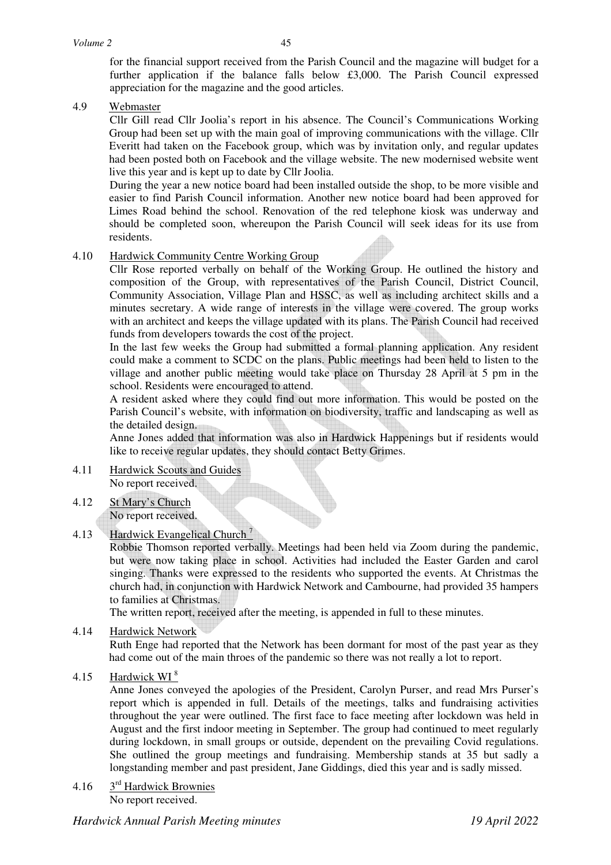for the financial support received from the Parish Council and the magazine will budget for a further application if the balance falls below £3,000. The Parish Council expressed appreciation for the magazine and the good articles.

4.9 Webmaster

Cllr Gill read Cllr Joolia's report in his absence. The Council's Communications Working Group had been set up with the main goal of improving communications with the village. Cllr Everitt had taken on the Facebook group, which was by invitation only, and regular updates had been posted both on Facebook and the village website. The new modernised website went live this year and is kept up to date by Cllr Joolia.

During the year a new notice board had been installed outside the shop, to be more visible and easier to find Parish Council information. Another new notice board had been approved for Limes Road behind the school. Renovation of the red telephone kiosk was underway and should be completed soon, whereupon the Parish Council will seek ideas for its use from residents.

#### 4.10 Hardwick Community Centre Working Group

Cllr Rose reported verbally on behalf of the Working Group. He outlined the history and composition of the Group, with representatives of the Parish Council, District Council, Community Association, Village Plan and HSSC, as well as including architect skills and a minutes secretary. A wide range of interests in the village were covered. The group works with an architect and keeps the village updated with its plans. The Parish Council had received funds from developers towards the cost of the project.

In the last few weeks the Group had submitted a formal planning application. Any resident could make a comment to SCDC on the plans. Public meetings had been held to listen to the village and another public meeting would take place on Thursday 28 April at 5 pm in the school. Residents were encouraged to attend.

A resident asked where they could find out more information. This would be posted on the Parish Council's website, with information on biodiversity, traffic and landscaping as well as the detailed design.

Anne Jones added that information was also in Hardwick Happenings but if residents would like to receive regular updates, they should contact Betty Grimes.

- 4.11 Hardwick Scouts and Guides No report received.
- 4.12 St Mary's Church No report received.

# 4.13 Hardwick Evangelical Church<sup>7</sup>

Robbie Thomson reported verbally. Meetings had been held via Zoom during the pandemic, but were now taking place in school. Activities had included the Easter Garden and carol singing. Thanks were expressed to the residents who supported the events. At Christmas the church had, in conjunction with Hardwick Network and Cambourne, had provided 35 hampers to families at Christmas.

The written report, received after the meeting, is appended in full to these minutes.

4.14 Hardwick Network

Ruth Enge had reported that the Network has been dormant for most of the past year as they had come out of the main throes of the pandemic so there was not really a lot to report.

4.15 Hardwick WI <sup>8</sup>

Anne Jones conveyed the apologies of the President, Carolyn Purser, and read Mrs Purser's report which is appended in full. Details of the meetings, talks and fundraising activities throughout the year were outlined. The first face to face meeting after lockdown was held in August and the first indoor meeting in September. The group had continued to meet regularly during lockdown, in small groups or outside, dependent on the prevailing Covid regulations. She outlined the group meetings and fundraising. Membership stands at 35 but sadly a longstanding member and past president, Jane Giddings, died this year and is sadly missed.

4.16 3rd Hardwick Brownies No report received.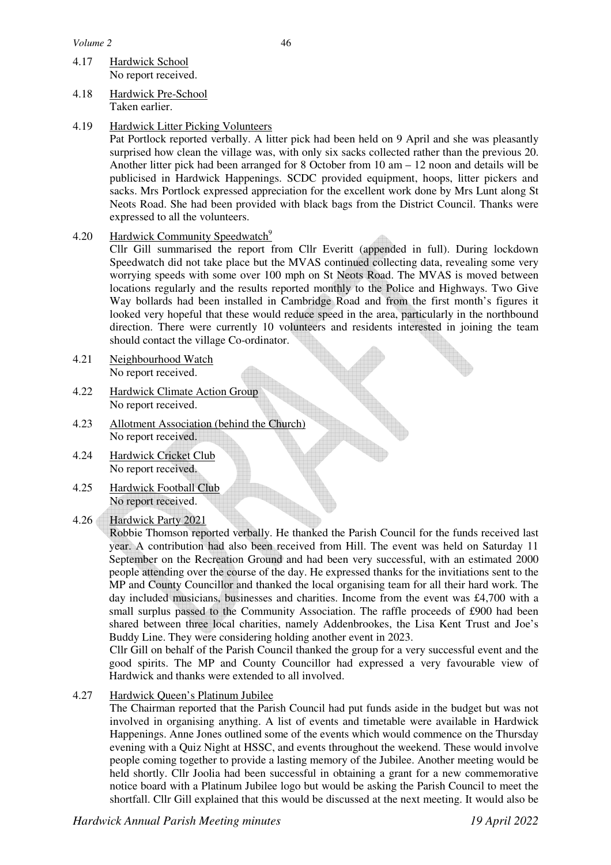- 4.17 Hardwick School No report received.
- 4.18 Hardwick Pre-School Taken earlier.
- 4.19 Hardwick Litter Picking Volunteers

Pat Portlock reported verbally. A litter pick had been held on 9 April and she was pleasantly surprised how clean the village was, with only six sacks collected rather than the previous 20. Another litter pick had been arranged for 8 October from 10 am – 12 noon and details will be publicised in Hardwick Happenings. SCDC provided equipment, hoops, litter pickers and sacks. Mrs Portlock expressed appreciation for the excellent work done by Mrs Lunt along St Neots Road. She had been provided with black bags from the District Council. Thanks were expressed to all the volunteers.

4.20 Hardwick Community Speedwatch<sup>9</sup>

Cllr Gill summarised the report from Cllr Everitt (appended in full). During lockdown Speedwatch did not take place but the MVAS continued collecting data, revealing some very worrying speeds with some over 100 mph on St Neots Road. The MVAS is moved between locations regularly and the results reported monthly to the Police and Highways. Two Give Way bollards had been installed in Cambridge Road and from the first month's figures it looked very hopeful that these would reduce speed in the area, particularly in the northbound direction. There were currently 10 volunteers and residents interested in joining the team should contact the village Co-ordinator.

- 4.21 Neighbourhood Watch No report received.
- 4.22 Hardwick Climate Action Group No report received.
- 4.23 Allotment Association (behind the Church) No report received.
- 4.24 Hardwick Cricket Club No report received.
- 4.25 Hardwick Football Club No report received.
- 4.26 Hardwick Party 2021

Robbie Thomson reported verbally. He thanked the Parish Council for the funds received last year. A contribution had also been received from Hill. The event was held on Saturday 11 September on the Recreation Ground and had been very successful, with an estimated 2000 people attending over the course of the day. He expressed thanks for the invitiations sent to the MP and County Councillor and thanked the local organising team for all their hard work. The day included musicians, businesses and charities. Income from the event was £4,700 with a small surplus passed to the Community Association. The raffle proceeds of £900 had been shared between three local charities, namely Addenbrookes, the Lisa Kent Trust and Joe's Buddy Line. They were considering holding another event in 2023.

Cllr Gill on behalf of the Parish Council thanked the group for a very successful event and the good spirits. The MP and County Councillor had expressed a very favourable view of Hardwick and thanks were extended to all involved.

4.27 Hardwick Queen's Platinum Jubilee

The Chairman reported that the Parish Council had put funds aside in the budget but was not involved in organising anything. A list of events and timetable were available in Hardwick Happenings. Anne Jones outlined some of the events which would commence on the Thursday evening with a Quiz Night at HSSC, and events throughout the weekend. These would involve people coming together to provide a lasting memory of the Jubilee. Another meeting would be held shortly. Cllr Joolia had been successful in obtaining a grant for a new commemorative notice board with a Platinum Jubilee logo but would be asking the Parish Council to meet the shortfall. Cllr Gill explained that this would be discussed at the next meeting. It would also be